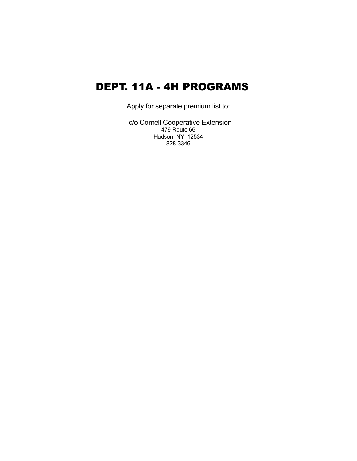# DEPT. 11A - 4H PROGRAMS

Apply for separate premium list to:

 c/o Cornell Cooperative Extension 479 Route 66 Hudson, NY 12534 828-3346